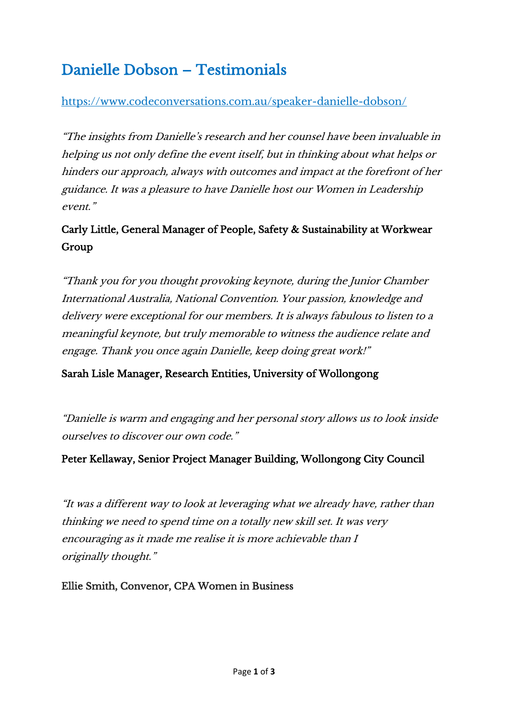# Danielle Dobson – Testimonials

## <https://www.codeconversations.com.au/speaker-danielle-dobson/>

"The insights from Danielle's research and her counsel have been invaluable in helping us not only define the event itself, but in thinking about what helps or hinders our approach, always with outcomes and impact at the forefront of her guidance. It was a pleasure to have Danielle host our Women in Leadership event"

# Carly Little, General Manager of People, Safety & Sustainability at Workwear Group

"Thank you for you thought provoking keynote, during the Junior Chamber International Australia, National Convention. Your passion, knowledge and delivery were exceptional for our members. It is always fabulous to listen to a meaningful keynote, but truly memorable to witness the audience relate and engage. Thank you once again Danielle, keep doing great work!["](https://www.linkedin.com/in/sarah-lisle)

### [Sarah Lisle Manager, Research Entities, University of Wollongong](https://www.linkedin.com/in/sarah-lisle)

"Danielle is warm and engaging and her personal story allows us to look inside ourselves to discover our own code."

### Peter Kellaway, Senior Project Manager Building, Wollongong City Council

"It was a different way to look at leveraging what we already have, rather than thinking we need to spend time on a totally new skill set. It was very encouraging as it made me realise it is more achievable than I originally thought."

Ellie Smith, Convenor, CPA Women in Business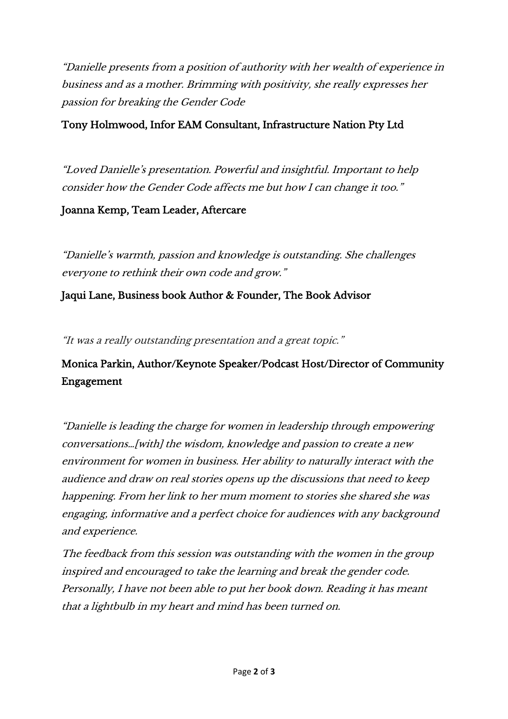"Danielle presents from a position of authority with her wealth of experience in business and as a mother. Brimming with positivity, she really expresses her passion for breaking the Gender Code

## Tony Holmwood, Infor EAM Consultant, Infrastructure Nation Pty Ltd

"Loved Danielle's presentation. Powerful and insightful. Important to help consider how the Gender Code affects me but how I can change it too."

#### Joanna Kemp, Team Leader, Aftercare

"Danielle's warmth, passion and knowledge is outstanding. She challenges everyone to rethink their own code and grow."

### Jaqui Lane, Business book Author & Founder, The Book Advisor

"It was a really outstanding presentation and a great topic."

## Monica Parkin, Author/Keynote Speaker/Podcast Host/Director of Community Engagement

"Danielle is leading the charge for women in leadership through empowering conversations…[with] the wisdom, knowledge and passion to create a new environment for women in business. Her ability to naturally interact with the audience and draw on real stories opens up the discussions that need to keep happening. From her link to her mum moment to stories she shared she was engaging, informative and a perfect choice for audiences with any background and experience.

The feedback from this session was outstanding with the women in the group inspired and encouraged to take the learning and break the gender code. Personally, I have not been able to put her book down. Reading it has meant that a lightbulb in my heart and mind has been turned on.